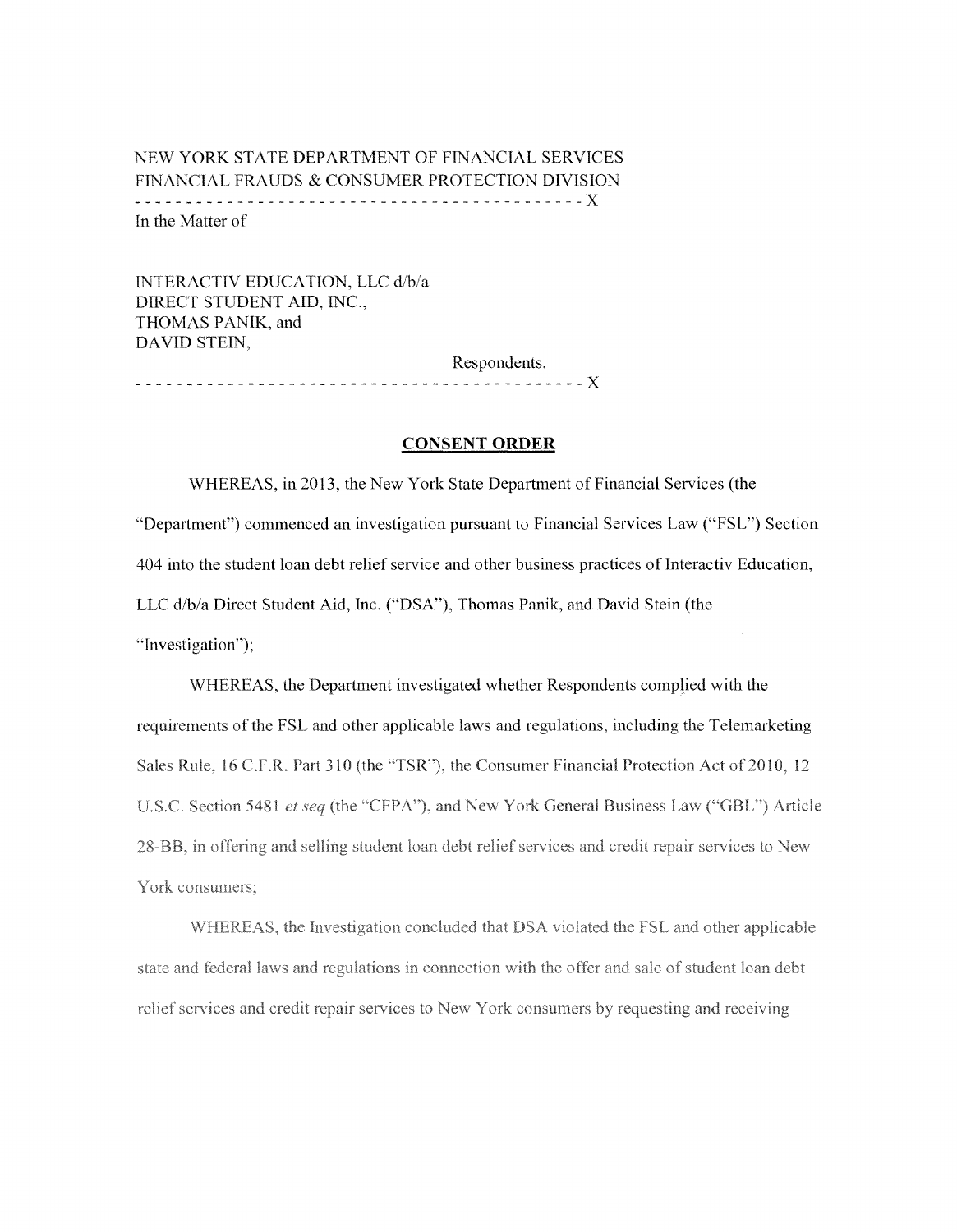# NEW YORK STATE DEPARTMENT OF FINANCIAL SERVICES FINANCIAL FRAUDS & CONSUMER PROTECTION DIVISION ------------------ ----- --- ------ <sup>X</sup> In the Matter of

INTERACTIV EDUCATION, LLC dib/a DIRECT STUDENT AID, INC., THOMAS PANIK, and DAVID STEIN, Respondents. ---------- --------X

## **CONSENT ORDER**

WHEREAS, in 2013, the New York State Department of Financial Services (the ''Department") commenced an investigation pursuant to Financial Services Law ("FSL") Section 404 into the student loan debt relief service and other business practices of Interactiv Education, LLC d/b/a Direct Student Aid, Inc. ("DSA"), Thomas Panik, and David Stein (the "Investigation");

WHEREAS, the Department investigated whether Respondents complied with the requirements of the FSL and other applicable laws and regulations, including the Telemarketing Sales Rule, 16 C.F.R. Part 310 (the "TSR"), the Consumer Financial Protection Act of 2010, 12 U.S.C. Section 5481 et seq (the "CFPA"), and New York General Business Law ("GBL") Article 28-BB, in offering and selling student loan debt relief services and credit repair services to New York consumers:

WHEREAS, the Investigation concluded that DSA violated the FSL and other applicable state and federal laws and regulations in connection with the offer and sale of student loan debt relief services and credit repair services to New York consumers by requesting and receiving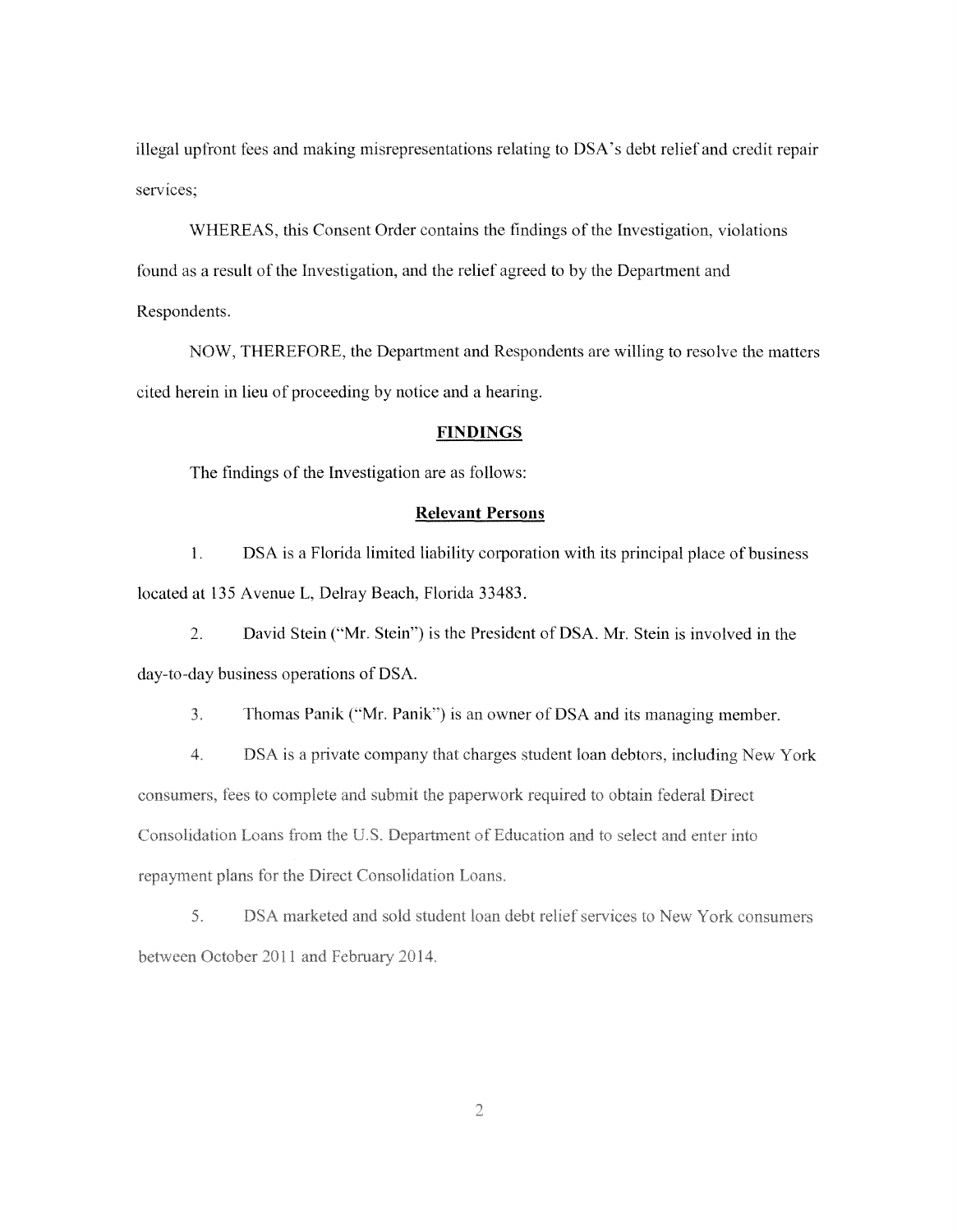illegal up front fees and making misrepresentations relating to DSA 's debt relief and credit repair services;

WHEREAS, this Consent Order contains the findings of the Investigation, violations found as a result of the Investigation, and the relief agreed to by the Department and Respondents.

NOW, THEREFORE, the Department and Respondents are willing to resolve the matters cited herein in lieu of proceeding by notice and a hearing.

## **FINDINGS**

The findings of the Investigation are as follows:

## **Relevant Persons**

1. DSA is a Florida limited liability corporation with its principal place of business located at 135 Avenue L, Delray Beach, Florida 33483.

2. David Stein ("Mr. Stein'') is the President of DSA. Mr. Stein is involved in the day-to-day business operations of DSA.

 $3<sub>1</sub>$ Thomas Panik ("Mr. Panik") is an owner of DSA and its managing member.

4. DSA is a private company that charges student loan debtors, including New York consumers, fees to complete and submit the paperwork required to obtain federal Direct Consolidation Loans from the U.S. Department of Education and to select and enter into repayment plans for the Direct Consolidation Loans.

5. DSA marketed and sold student loan debt relief services to New York consumers between October 2011 and February 2014.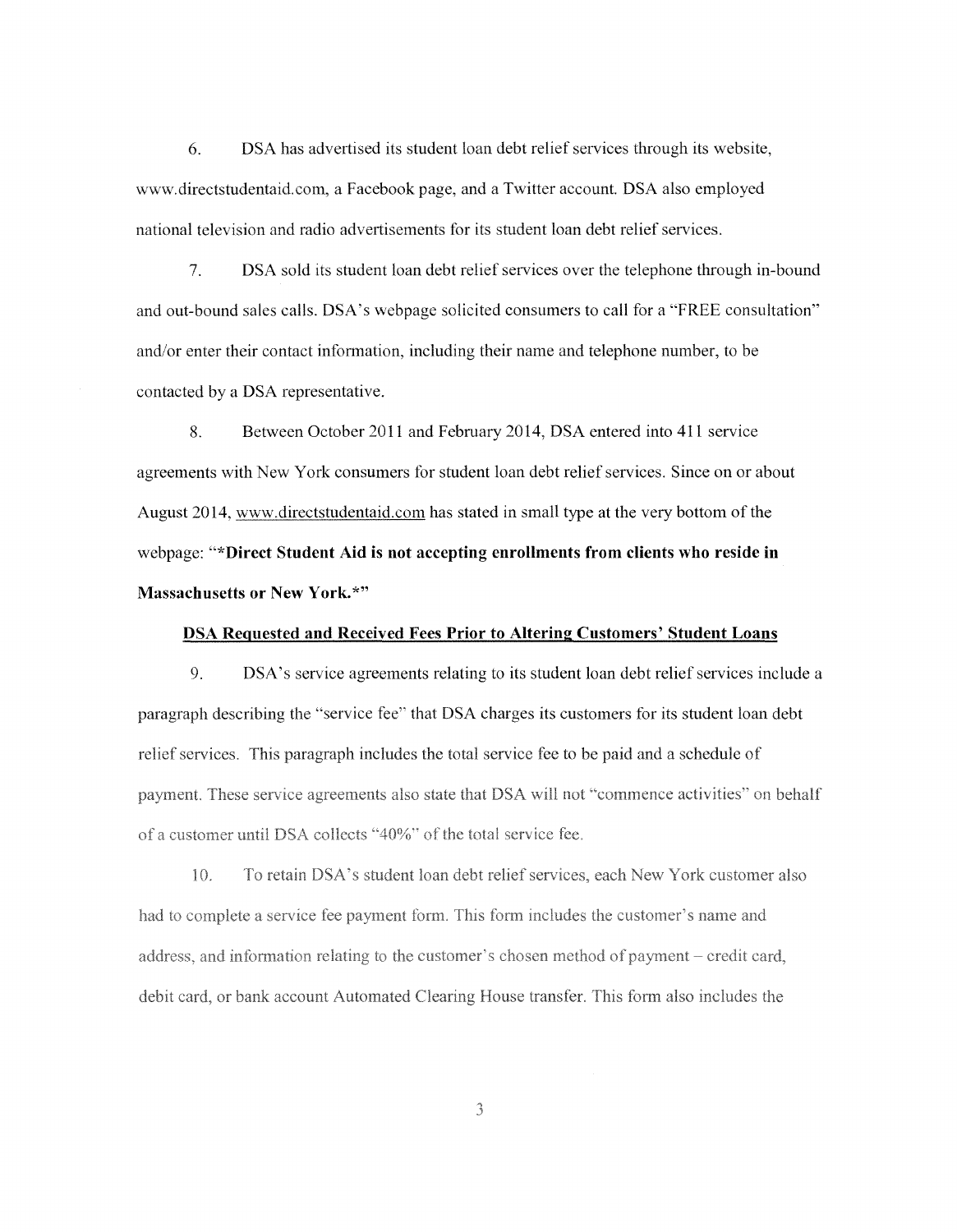6. DSA has advertised its student loan debt relief services through its website, www.directstudentaid.com, a Facebook page, and a Twitter account. DSA also employed national television and radio advertisements for its student loan debt relief services.

7. DSA sold its student loan debt relief services over the telephone through in-bound and out-bound sales calls. DSA's webpage solicited consumers to call for a "FREE consultation" and/or enter their contact information, including their name and telephone number, to be contacted by a DSA representative.

8. Between October 2011 and February 2014, DSA entered into 411 service agreements with New York consumers tor student loan debt relief services. Since on or about August 2014, www.directstudentaid.com has stated in small type at the very bottom of the webpage: **"\*Direct Student Aid is not accepting enrollments from clients who reside in Massachusetts or New York.\*"** 

### **DSA Requested and Received Fees Prior to Altering Customers' Student Loans**

9. DSA's service agreements relating to its student loan debt relief services include a paragraph describing the "service fee'' that DSA charges its customers for its student loan debt relief services. This paragraph includes the total service fee to be paid and a schedule of payment. These service agreements also state that DSA will not "commence activities" on behalf of a customer until DSA collects "40%" of the total service fee.

 $10.$ To retain DSA's student loan debt relief services, each New York customer also had to complete a service fee payment form. This form includes the customer's name and address, and information relating to the customer's chosen method of payment – credit card, debit card, or bank account Automated Clearing House transfer. This form also includes the

 $\overline{\mathcal{E}}$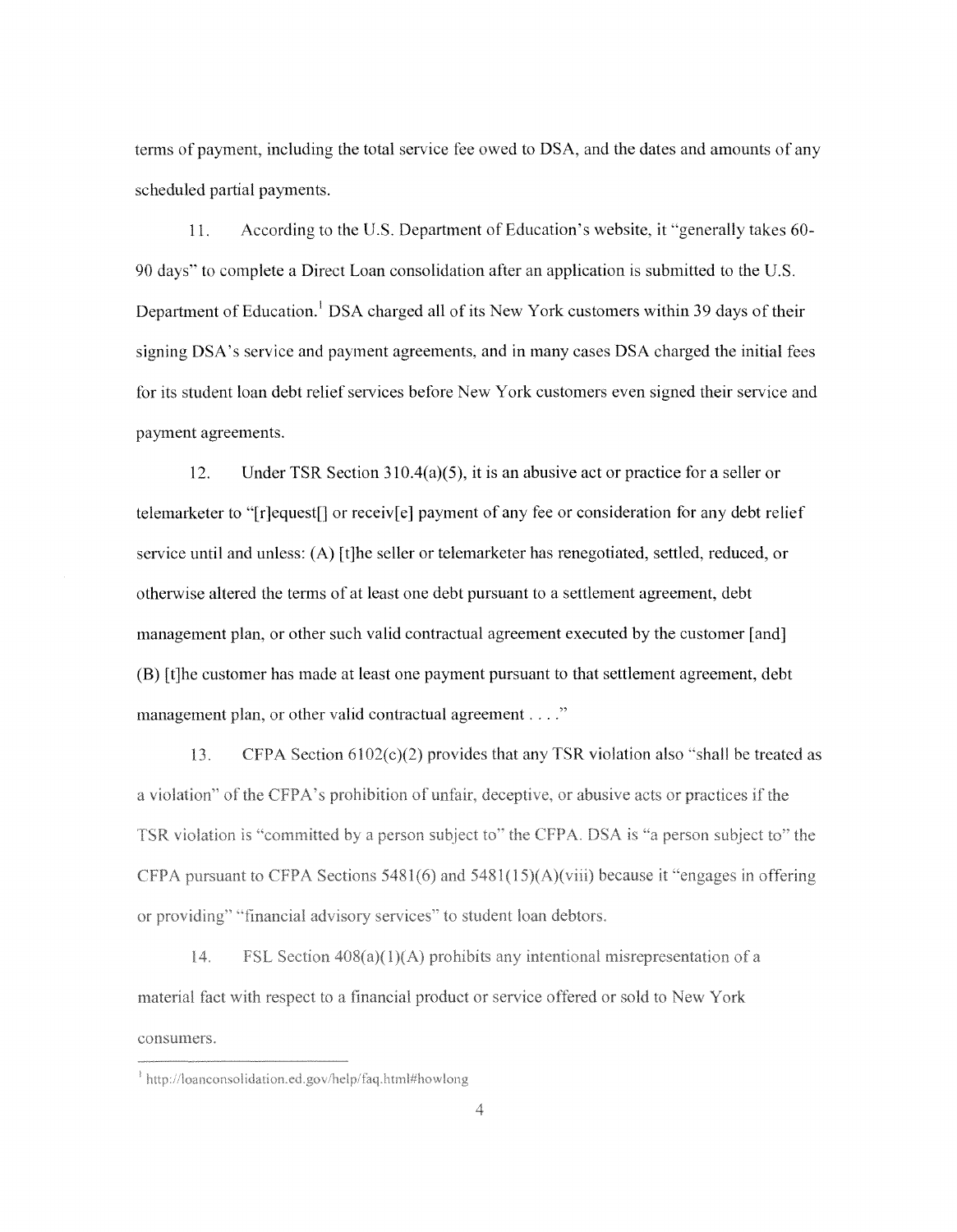terms of payment, including the total service fee owed to DSA, and the dates and amounts of any scheduled partial payments.

11. According to the U.S. Department of Education's website, it "generally takes 60 90 days'' to complete a Direct Loan consolidation after an application is submitted to the U.S. Department of Education.<sup>1</sup> DSA charged all of its New York customers within 39 days of their signing DSA's service and payment agreements, and in many cases DSA charged the initial fees for its student loan debt relief services before New York customers even signed their service and payment agreements.

12. Under TSR Section 310.4(a)(5), it is an abusive act or practice for a seller or telemarketer to "[r]equest[] or receiv[e] payment of any fee or consideration for any debt relief service until and unless: (A) [t]he seller or telemarketer has renegotiated, settled, reduced, or otherwise altered the terms of at least one debt pursuant to a settlement agreement, debt management plan, or other such valid contractual agreement executed by the customer [and] (B) [t]he customer has made at least one payment pursuant to that settlement agreement, debt management plan, or other valid contractual agreement . . . ."

13. CFPA Section  $6102(c)(2)$  provides that any TSR violation also "shall be treated as a violation" of the CFPA's prohibition of unfair, deceptive, or abusive acts or practices if the TSR violation is "committed by a person subject to" the CFPA. DSA is "a person subject to" the CFPA pursuant to CFPA Sections 5481(6) and 5481(15)(A)(viii) because it "engages in offering or providing" "financial advisory services" to student loan debtors.

 $14.$ FSL Section  $408(a)(1)(A)$  prohibits any intentional misrepresentation of a material fact with respect to a financial product or service offered or sold to New York consumers.

<sup>&</sup>lt;sup>1</sup> http://loanconsolidation.ed.gov/help/faq.html#howlong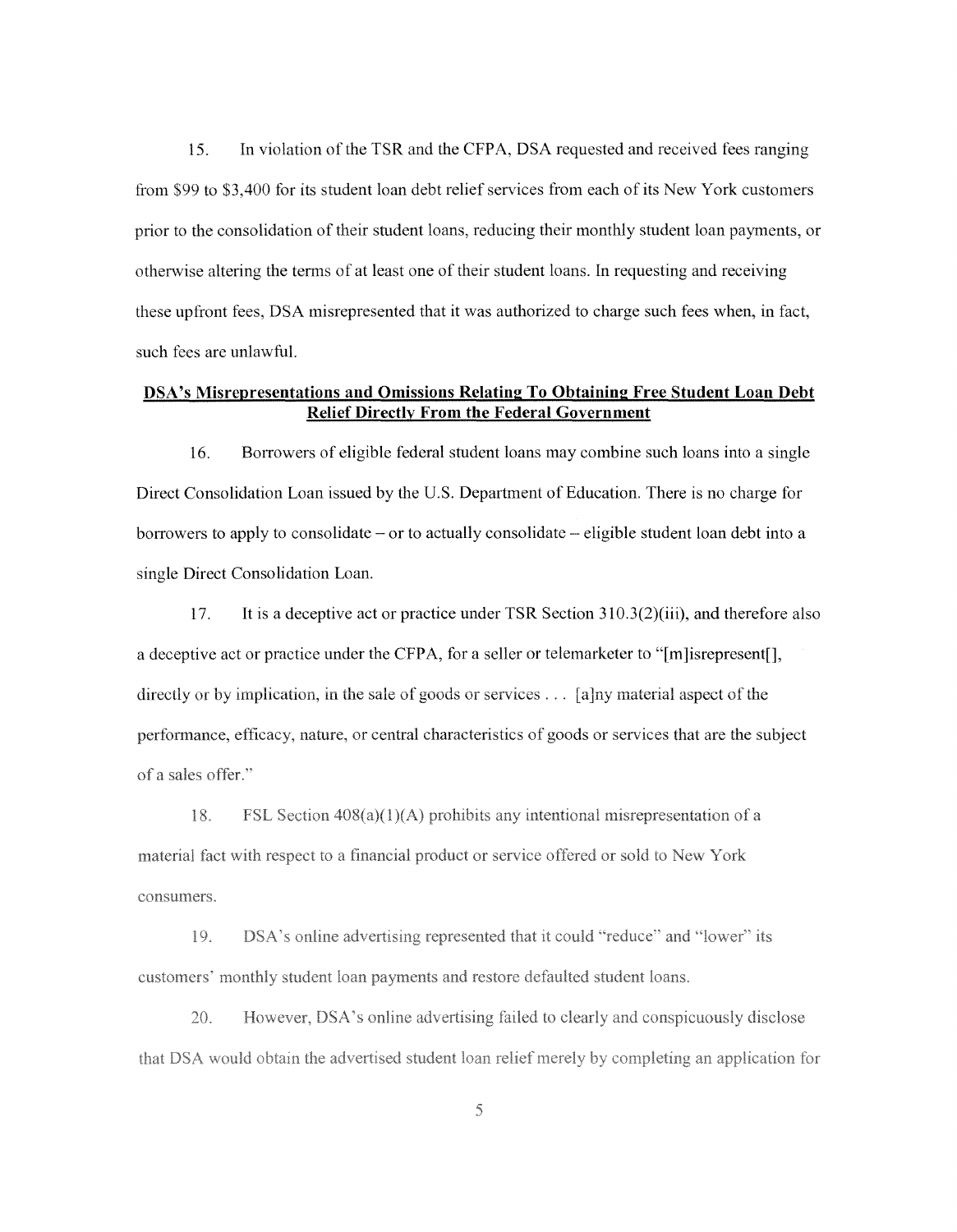15. In violation of the TSR and the CFPA, DSA requested and received fees ranging from \$99 to \$3,400 for its student loan debt relief services from each of its New York customers prior to the consolidation of their student loans, reducing their monthly student loan payments, or otherwise altering the terms of at least one of their student loans. In requesting and receiving these upfront fees, DSA misrepresented that it was authorized to charge such fees when, in fact, such fees are unlawful.

# **DSA's Misrepresentations and Omissions Relating To Obtaining Free Student Loan Debt Relief Directly From the Federal Government**

16. Borrowers of eligible federal student loans may combine such loans into a single Direct Consolidation Loan issued by the U.S. Department of Education. There is no charge for borrowers to apply to consolidate  $-\text{ or to actually consolidate } -$  eligible student loan debt into a single Direct Consolidation Loan.

17. It is a deceptive act or practice under TSR Section 31 0.3(2)(iii), and therefore also a deceptive act or practice under the CFPA, for a seller or telemarketer to "[m]isrepresent[], directly or by implication, in the sale of goods or services  $\dots$  [a]ny material aspect of the performance, efficacy, nature, or central characteristics of goods or services that are the subject of a sales offer."

18. FSL Section  $408(a)(1)(A)$  prohibits any intentional misrepresentation of a material fact with respect to a financial product or service offered or sold to New York consumers.

19. DSA's online advertising represented that it could "reduce" and "lower" its customers' monthly student loan payments and restore defaulted student loans.

20. However, DSA's online advertising failed to clearly and conspicuously disclose that DSA would obtain the advertised student loan relief merely by completing an application for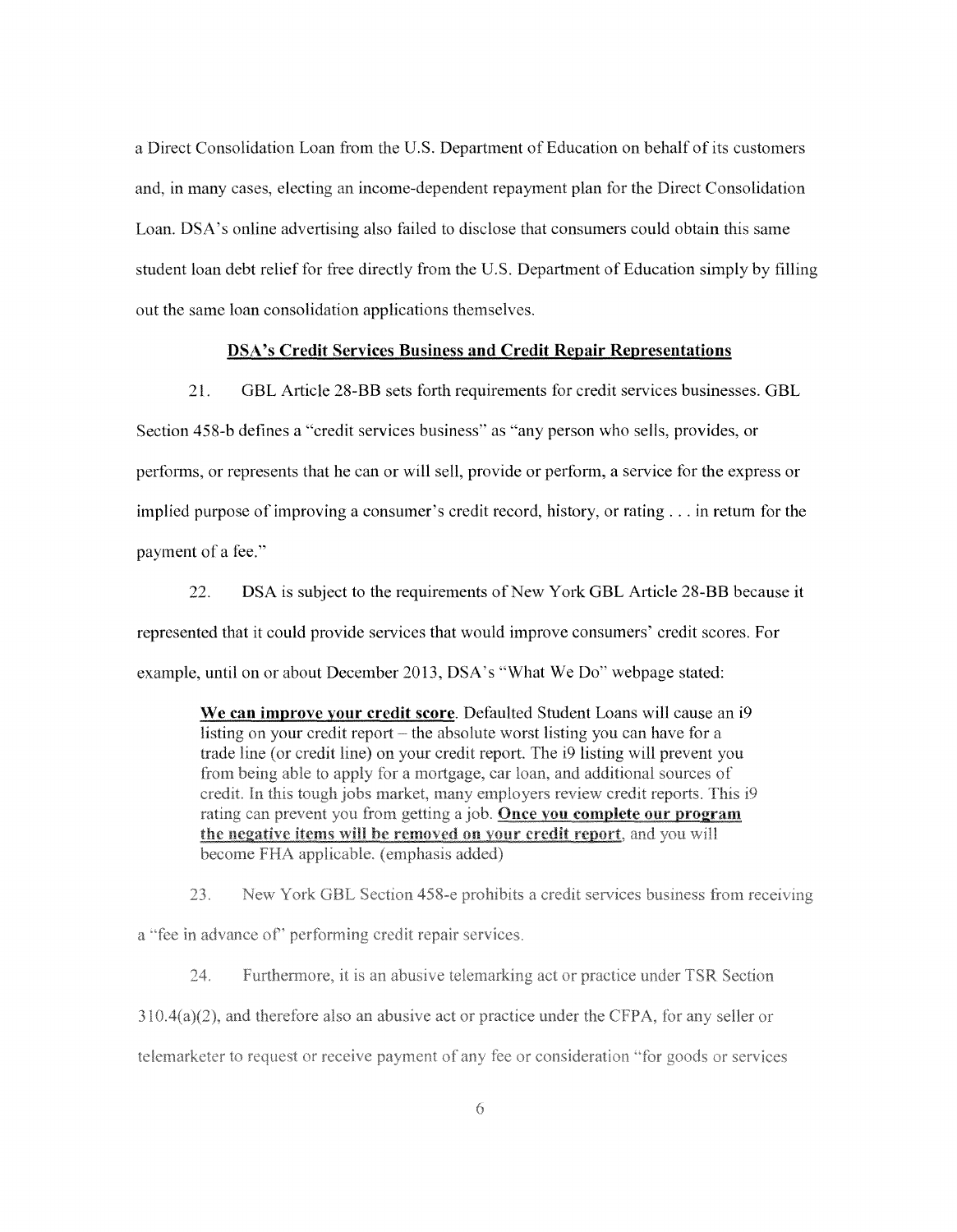a Direct Consolidation Loan from the U.S. Department of Education on behalf of its customers and, in many cases, electing an income-dependent repayment plan for the Direct Consolidation Loan. DSA's online advertising also failed to disclose that consumers could obtain this same student loan debt relief for free directly from the U.S. Department of Education simply by filling out the same loan consolidation applications themselves.

## **DSA's Credit Services Business and Credit Repair Representations**

21. GBL Article 28-BB sets forth requirements for credit services businesses. GBL Section 458-b defines a "credit services business" as "any person who sells, provides, or performs, or represents that he can or will sell, provide or perform, a service for the express or implied purpose of improving a consumer's credit record, history, or rating ... in return for the payment of a fee."

22. DSA is subject to the requirements of New York GBL Article 28-BB because it represented that it could provide services that would improve consumers' credit scores. For example, until on or about December 2013, DSA's "What We Do" webpage stated:

**We can improve your credit score.** Defaulted Student Loans will cause an i9 listing on your credit report  $-$  the absolute worst listing you can have for a trade line (or credit line) on your credit report. The i9 listing will prevent you from being able to apply for a mortgage, car loan, and additional sources of credit. In this tough jobs market, many employers review credit reports. This i9 rating can prevent you from getting a job. Once you complete our program the negative items will be removed on your credit report, and you will become FHA applicable. (emphasis added)

23. New York GBL Section 458-e prohibits a credit services business from receiving a "fee in advance of" performing credit repair services.

 $24.$ Furthermore, it is an abusive telemarking act or practice under TSR Section  $310.4(a)(2)$ , and therefore also an abusive act or practice under the CFPA, for any seller or telemarketer to request or receive payment of any fee or consideration "for goods or services"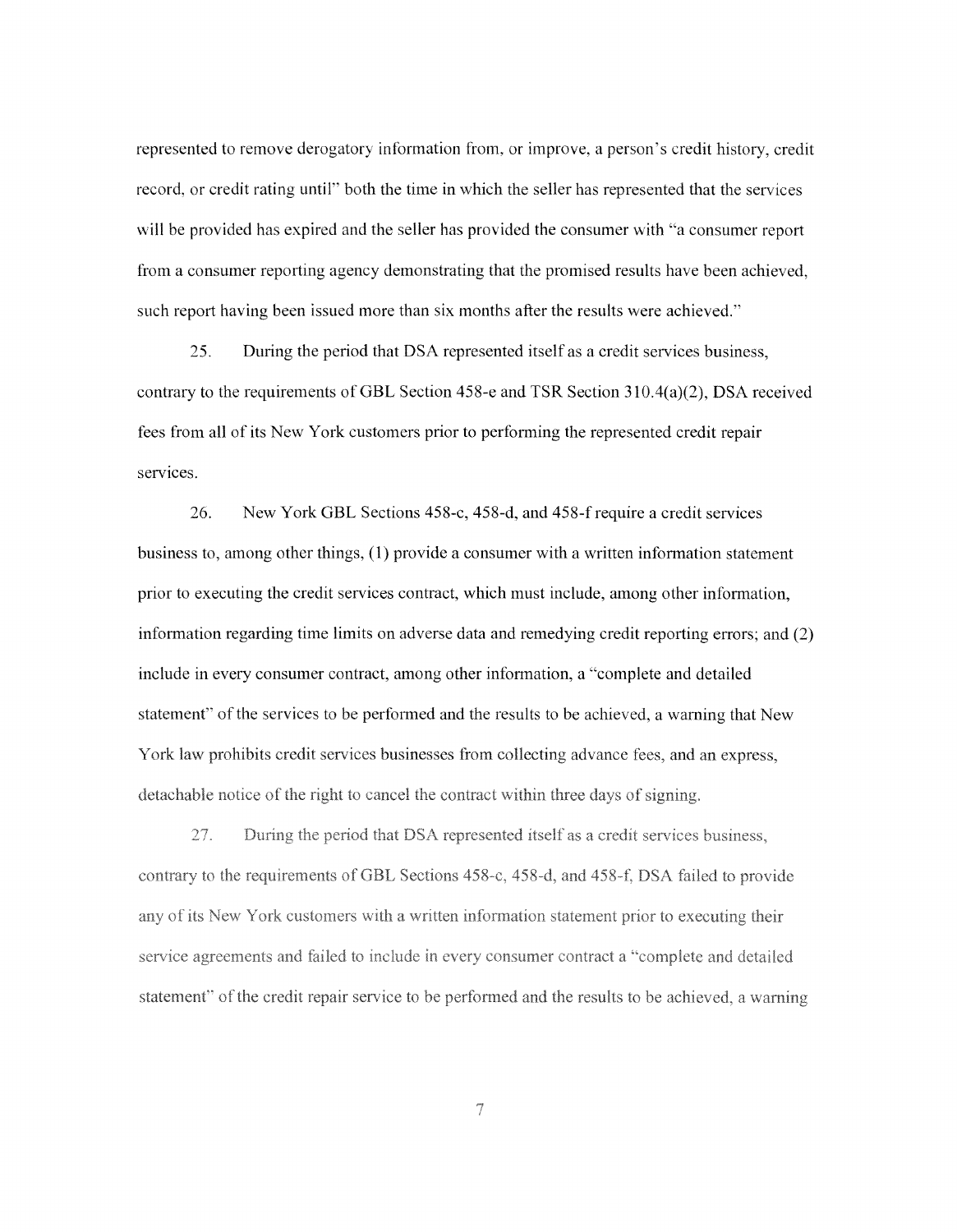represented to remove derogatory information from, or improve, a person's credit history, credit record, or credit rating until" both the time in which the seller has represented that the services will be provided has expired and the seller has provided the consumer with "a consumer report from a consumer reporting agency demonstrating that the promised results have been achieved, such report having been issued more than six months after the results were achieved."

25. During the period that DSA represented itself as a credit services business, contrary to the requirements ofGBL Section 458-e and TSR Section 310.4(a)(2), DSA received fees from all of its New York customers prior to performing the represented credit repair services.

26. New York GBL Sections 458-c, 458-d, and 458-frequire a credit services business to, among other things, ( 1) provide a consumer with a written information statement prior to executing the credit services contract, which must include, among other information, information regarding time limits on adverse data and remedying credit reporting errors; and (2) include in every consumer contract, among other information, a "complete and detailed statement" of the services to be performed and the results to be achieved, a warning that New York law prohibits credit services businesses from collecting advance fees, and an express, detachable notice of the right to cancel the contract within three days of signing.

27. During the period that DSA represented itself as a credit services business. contrary to the requirements of GBL Sections 458-c, 458-d, and 458-f, DSA failed to provide any of its New York customers with a written information statement prior to executing their service agreements and failed to include in every consumer contract a "complete and detailed statement" of the credit repair service to be performed and the results to be achieved, a warning

 $\overline{\tau}$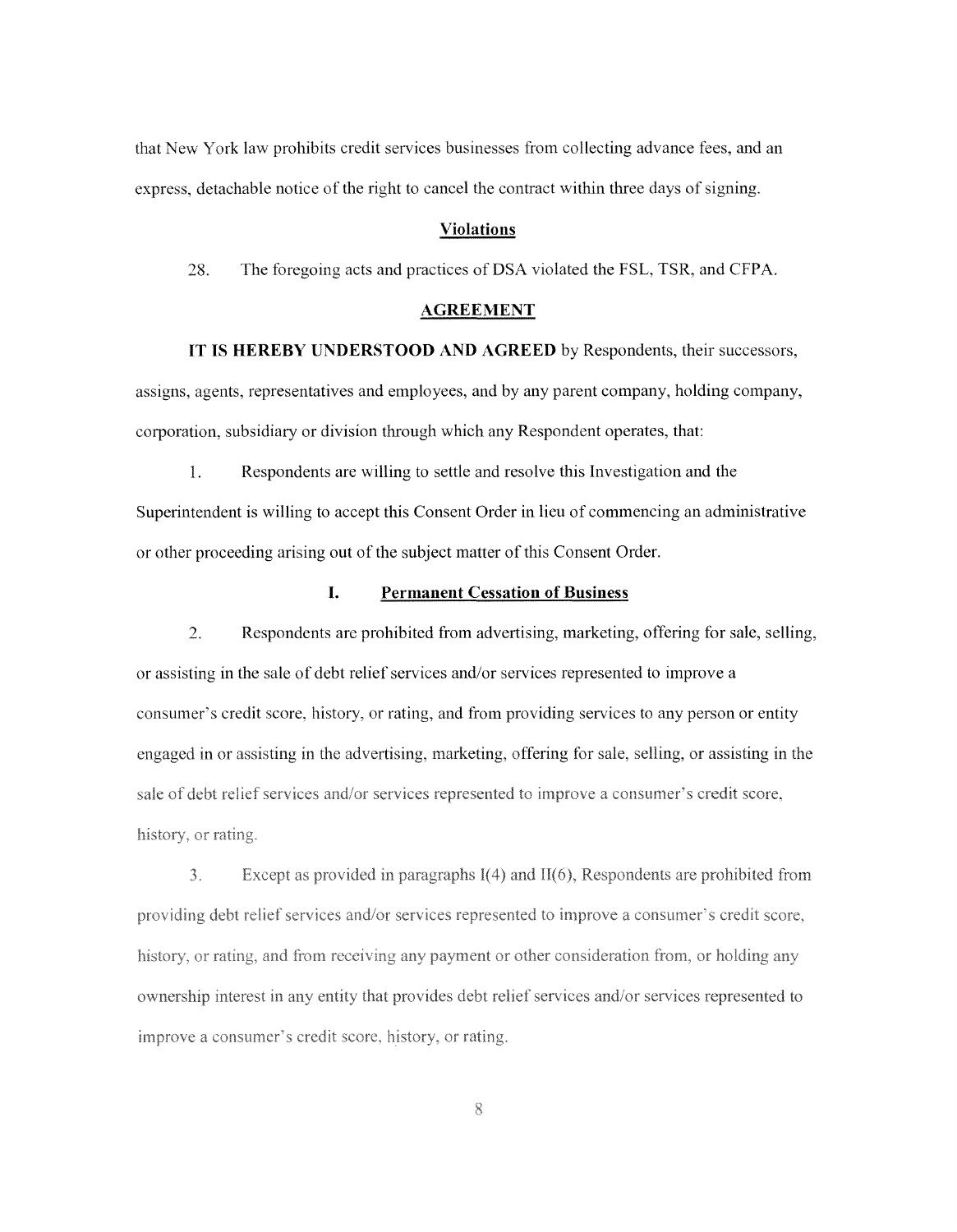that New York law prohibits credit services businesses from collecting advance fees, and an express, detachable notice of the right to cancel the contract within three days of signing.

#### **Violations**

28. The foregoing acts and practices of DSA violated the FSL, TSR, and CFPA.

#### **AGREEMENT**

**lT IS HEREBY UNDERSTOOD AND AGREED** by Respondents, their successors, assigns, agents, representatives and employees, and by any parent company, holding company, corporation, subsidiary or division through which any Respondent operates, that:

1. Respondents are willing to settle and resolve this Investigation and the Superintendent is willing to accept this Consent Order in lieu of commencing an administrative or other proceeding arising out of the subject matter of this Consent Order.

### **I. Permanent Cessation of Business**

2. Respondents are prohibited from advertising, marketing, offering for sale, selling, or assisting in the sale of debt relief services and/or services represented to improve a consumer's credit score, history, or rating, and from providing services to any person or entity engaged in or assisting in the advertising, marketing, offering for sale, selling, or assisting in the sale of debt relief services and/or services represented to improve a consumer's credit score. history, or rating.

 $3<sub>1</sub>$ Except as provided in paragraphs  $I(4)$  and  $II(6)$ , Respondents are prohibited from providing debt relief services and/or services represented to improve a consumer's credit score, history, or rating, and from receiving any payment or other consideration from, or holding any ownership interest in any entity that provides debt relief services and/or services represented to improve a consumer's credit score, history, or rating.

8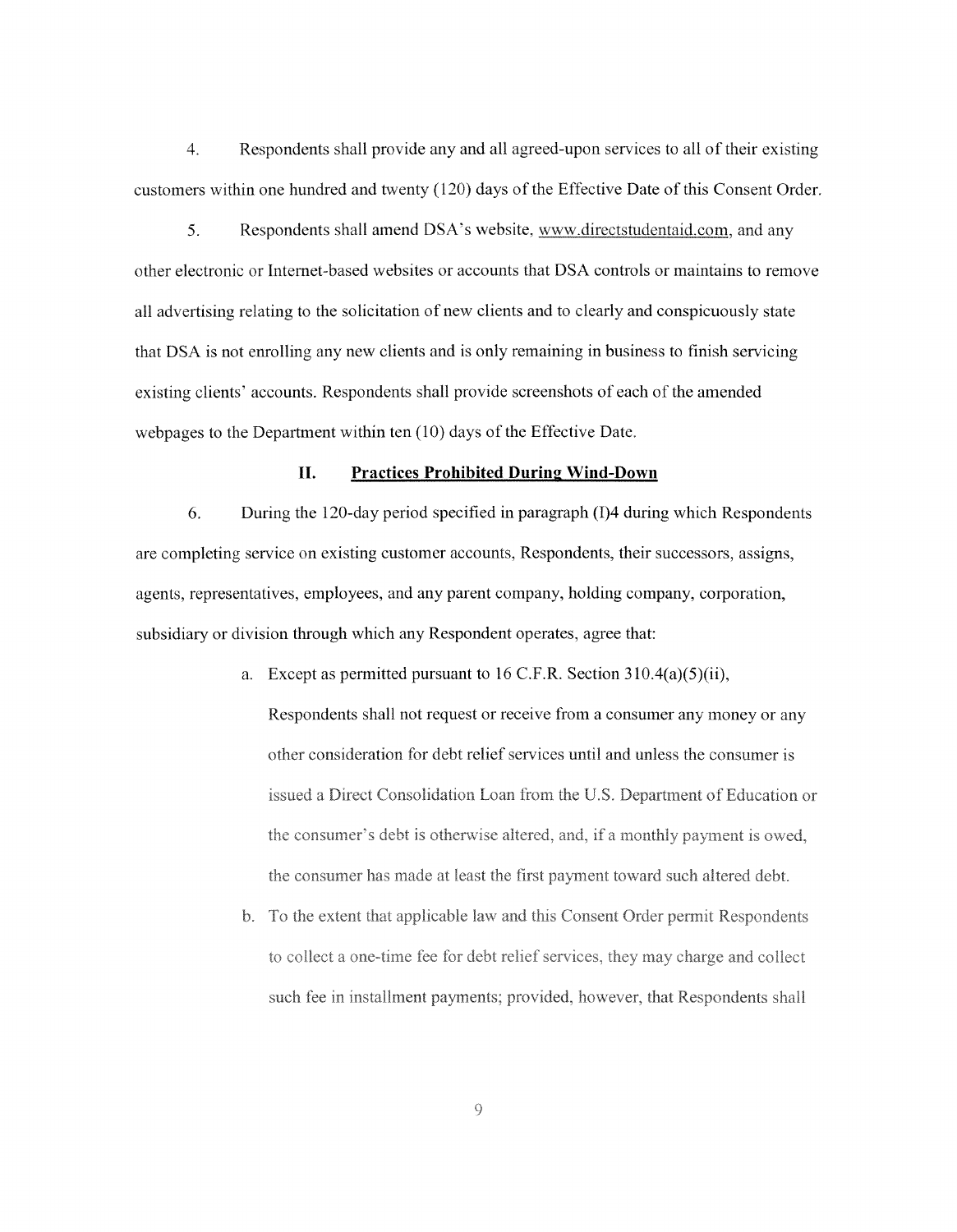4. Respondents shall provide any and all agreed-upon services to all of their existing customers within one hundred and twenty (120) days of the Effective Date of this Consent Order.

Respondents shall amend DSA's website, www.directstudentaid.com, and any 5. other electronic or Internet-based websites or accounts that DSA controls or maintains to remove all advertising relating to the solicitation of new clients and to clearly and conspicuously state that DSA is not enrolling any new clients and is only remaining in business to finish servicing existing clients' accounts. Respondents shall provide screenshots of each of the amended webpages to the Department within ten (10) days of the Effective Date.

#### **II. Practices Prohibited During Wind-Down**

6. During the 120-day period specified in paragraph (1)4 during which Respondents are completing service on existing customer accounts, Respondents, their successors, assigns, agents, representatives, employees, and any parent company, holding company, corporation, subsidiary or division through which any Respondent operates, agree that:

- a. Except as permitted pursuant to 16 C.F.R. Section 310.4(a)(5)(ii), Respondents shall not request or receive from a consumer any money or any other consideration for debt relief services until and unless the consumer is issued a Direct Consolidation Loan from the U.S. Department of Education or the consumer's debt is otherwise altered, and, if a monthly payment is owed. the consumer has made at least the first payment toward such altered debt.
- b. To the extent that applicable law and this Consent Order permit Respondents to collect a one-time fee for debt relief services, they may charge and collect such fee in installment payments; provided, however, that Respondents shall

 $\overline{Q}$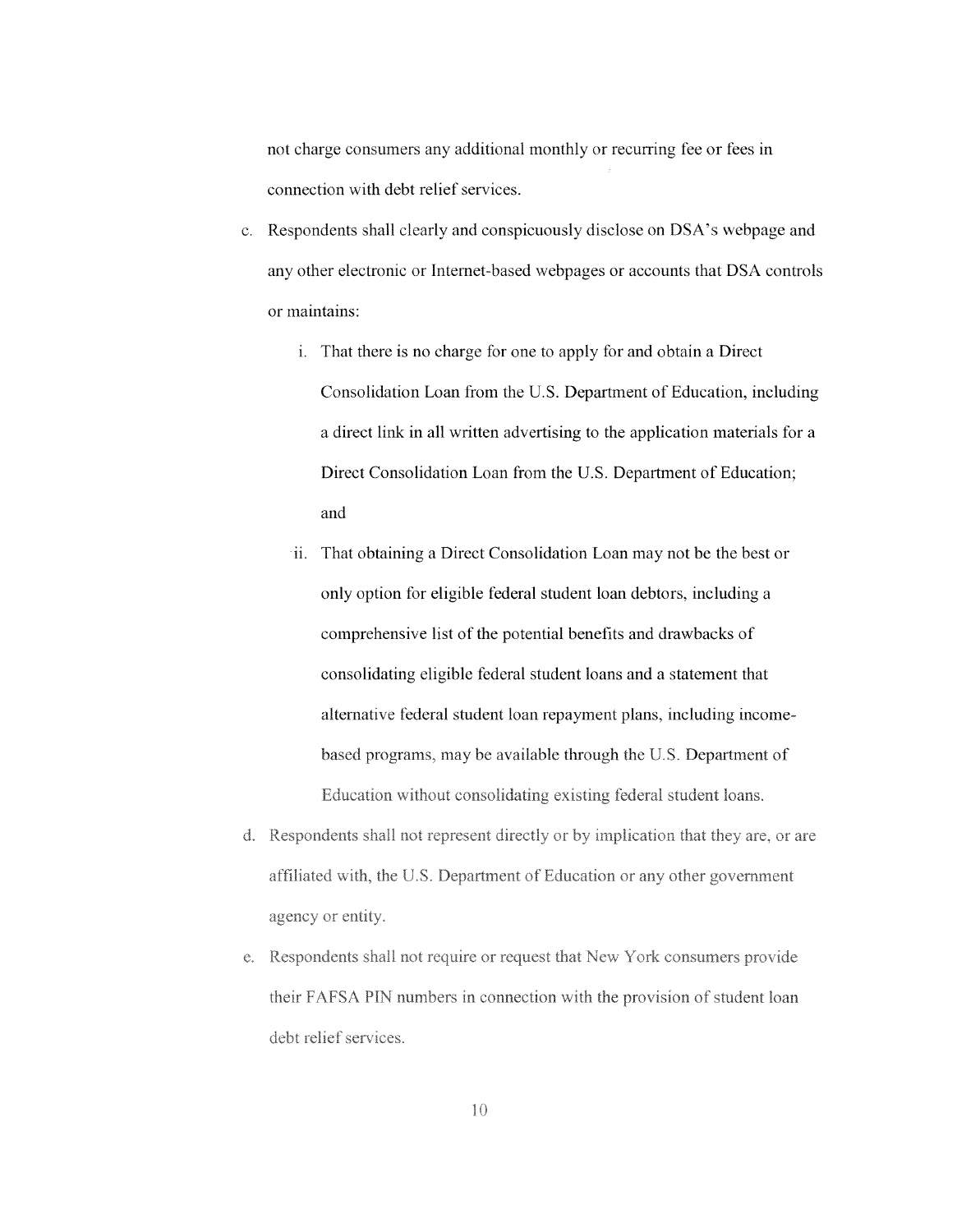not charge consumers any additional monthly or recurring fee or fees in connection with debt relief services.

- c. Respondents shall clearly and conspicuously disclose on DSA's webpage and any other electronic or Internet-based webpages or accounts that DSA controls or maintains:
	- i. That there is no charge for one to apply for and obtain a Direct Consolidation Loan from the U.S. Department of Education, including a direct link in all written advertising to the application materials for a Direct Consolidation Loan from the U.S. Department of Education; and
	- ii. That obtaining a Direct Consolidation Loan may not be the best or only option for eligible federal student loan debtors, including a comprehensive list of the potential benefits and drawbacks of consolidating eligible federal student loans and a statement that alternative federal student loan repayment plans, including incomebased programs, may be available through the U.S. Department of Education without consolidating existing federal student loans.
- d. Respondents shall not represent directly or by implication that they are, or are affiliated with, the U.S. Department of Education or any other government agency or entity.
- e. Respondents shall not require or request that New York consumers provide their FAFSA PIN numbers in connection with the provision of student loan debt relief services.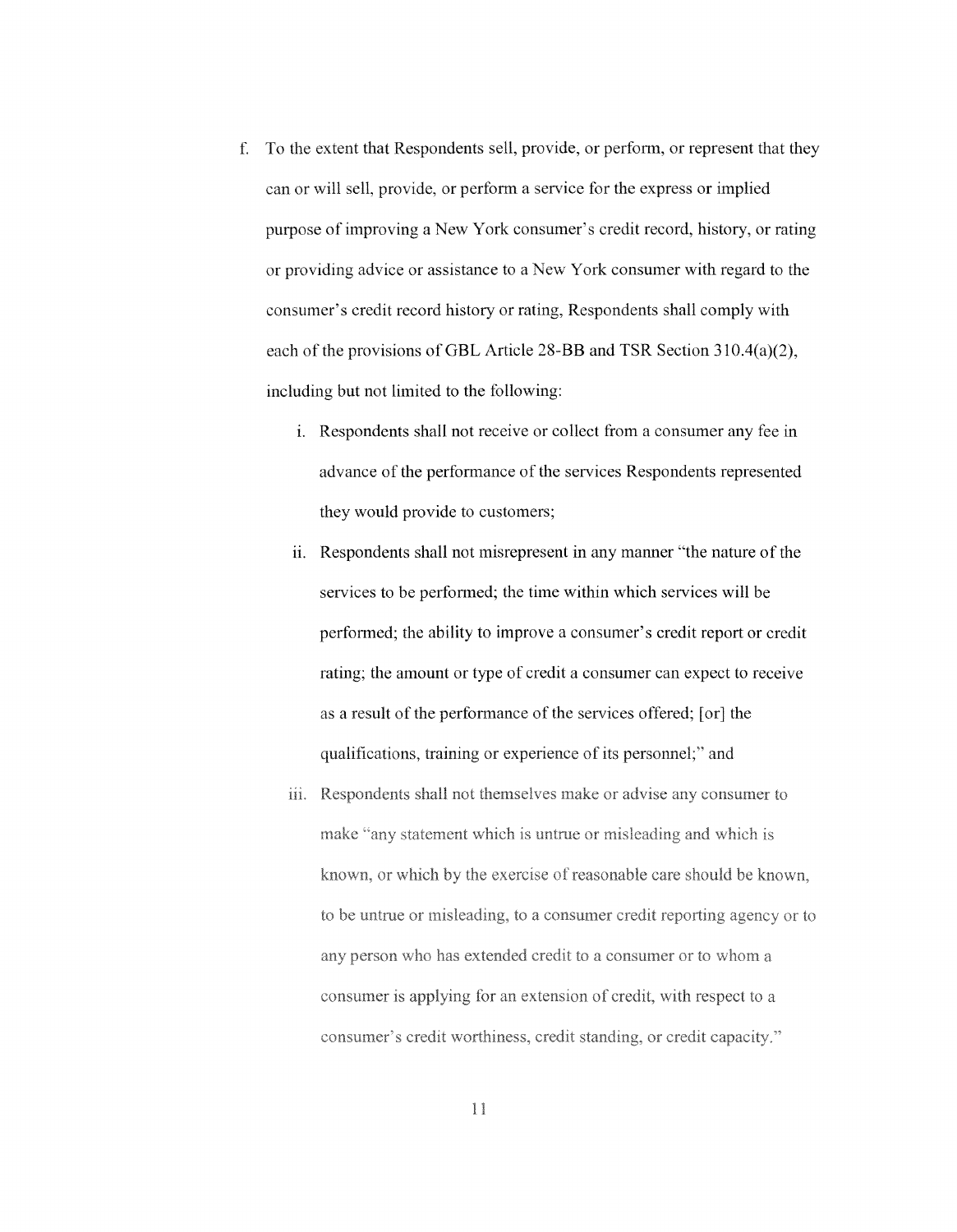- f. To the extent that Respondents sell, provide, or perform, or represent that they can or will sell, provide, or perform a service for the express or implied purpose of improving a New York consumer's credit record, history, or rating or providing advice or assistance to a New York consumer with regard to the consumer's credit record history or rating, Respondents shall comply with each of the provisions of GBL Article 28-BB and TSR Section 310.4(a)(2), including but not limited to the following:
	- i. Respondents shall not receive or collect from a consumer any fee in advance of the performance of the services Respondents represented they would provide to customers;
	- ii. Respondents shall not misrepresent in any manner "the nature of the services to be performed; the time within which services will be performed; the ability to improve a consumer's credit report or credit rating; the amount or type of credit a consumer can expect to receive as a result of the performance of the services offered; [or] the qualifications, training or experience of its personnel;" and
	- iii. Respondents shall not themselves make or advise any consumer to make "any statement which is untrue or misleading and which is known, or which by the exercise of reasonable care should be known, to be untrue or misleading, to a consumer credit reporting agency or to any person who has extended credit to a consumer or to whom a consumer is applying for an extension of credit, with respect to a consumer's credit worthiness, credit standing, or credit capacity."

 $\mathbf{1}$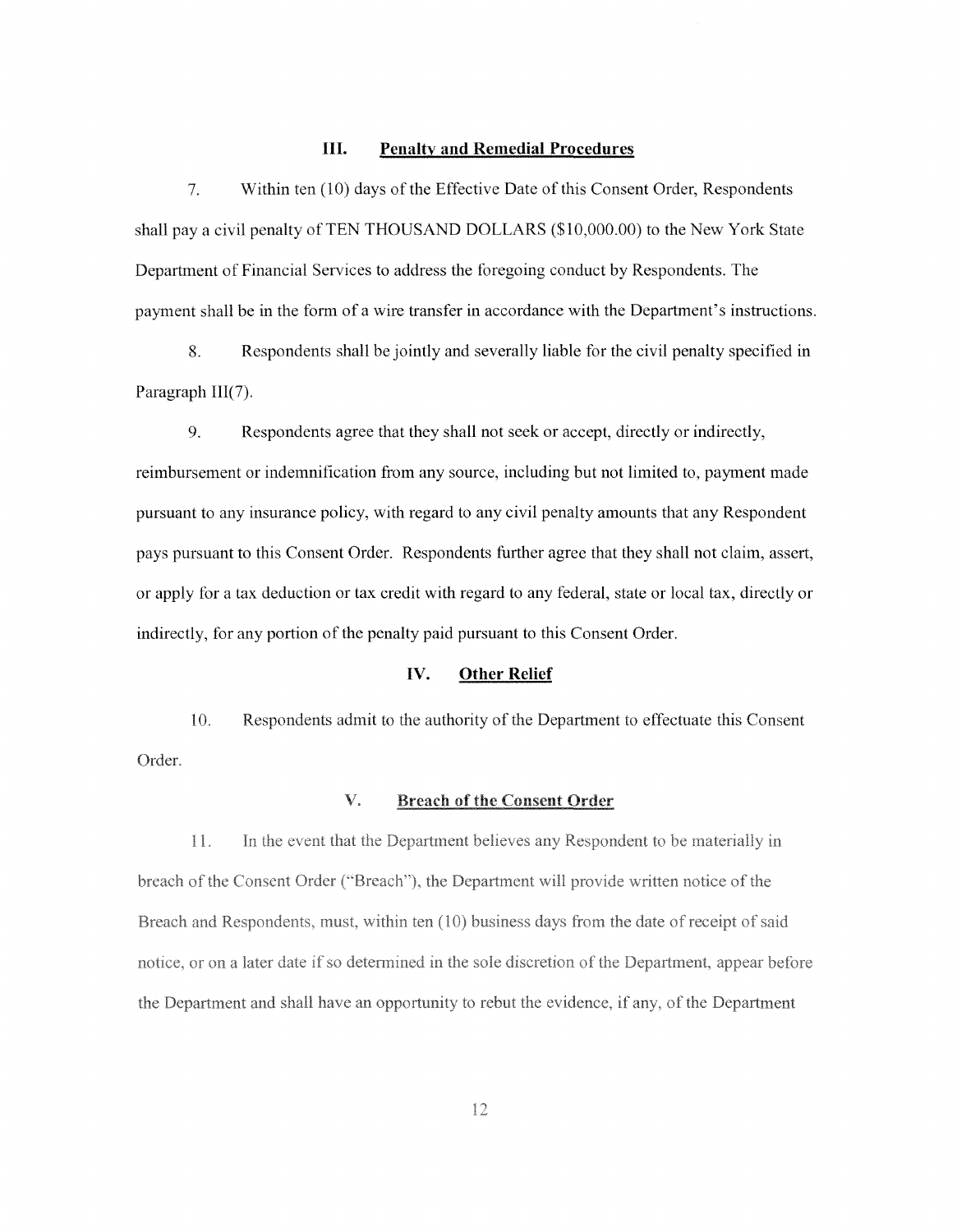## **III. Penalty and Remedial Procedures**

7. Within ten (10) days of the Effective Date of this Consent Order, Respondents shall pay a civil penalty of TEN THOUSAND DOLLARS (\$10,000.00) to the New York State Department of Financial Services to address the foregoing conduct by Respondents. The payment shall be in the form of a wire transfer in accordance with the Department's instructions.

8. Respondents shall be jointly and severally liable for the civil penalty specified in Paragraph III(7).

9. Respondents agree that they shall not seek or accept, directly or indirectly,

reimbursement or indemnification from any source, including but not limited to, payment made pursuant to any insurance policy, with regard to any civil penalty amounts that any Respondent pays pursuant to this Consent Order. Respondents further agree that they shall not claim, assert, or apply for a tax deduction or tax credit with regard to any federal, state or local tax, directly or indirectly, for any portion of the penalty paid pursuant to this Consent Order.

## **IV. Other Relief**

10. Respondents admit to the authority of the Department to effectuate this Consent Order.

#### $\mathbf{V}_{\ast}$ **Breach of the Consent Order**

 $11.$ In the event that the Department believes any Respondent to be materially in breach of the Consent Order ("Breach"), the Department will provide written notice of the Breach and Respondents, must, within ten (10) business days from the date of receipt of said notice, or on a later date if so determined in the sole discretion of the Department, appear before the Department and shall have an opportunity to rebut the evidence, if any, of the Department

12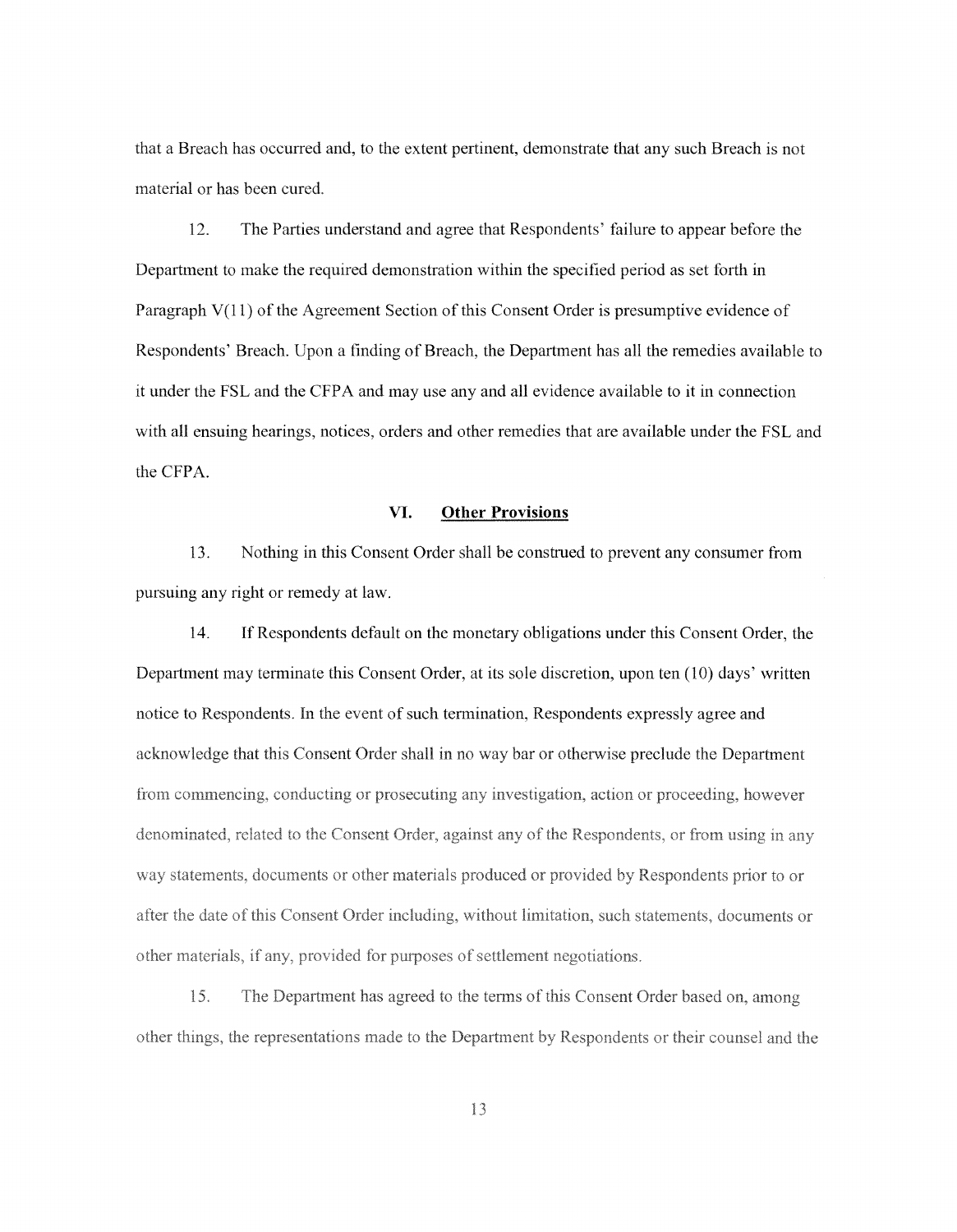that a Breach has occurred and, to the extent pertinent, demonstrate that any such Breach is not material or has been cured.

12. The Parties understand and agree that Respondents' failure to appear before the Department to make the required demonstration within the specified period as set forth in Paragraph V(ll) of the Agreement Section of this Consent Order is presumptive evidence of Respondents' Breach. Upon a finding of Breach, the Department has all the remedies available to it under the FSL and the CFPA and may use any and all evidence available to it in connection with all ensuing hearings, notices, orders and other remedies that are available under the FSL and the CFPA.

## **VI. Other Provisions**

13. Nothing in this Consent Order shall be construed to prevent any consumer from pursuing any right or remedy at law.

14. If Respondents default on the monetary obligations under this Consent Order, the Department may terminate this Consent Order, at its sole discretion, upon ten (10) days' written notice to Respondents. In the event of such termination, Respondents expressly agree and acknowledge that this Consent Order shall in no way bar or otherwise preclude the Department from commencing, conducting or prosecuting any investigation, action or proceeding, however denominated, related to the Consent Order, against any of the Respondents, or from using in any way statements, documents or other materials produced or provided by Respondents prior to or after the date of this Consent Order including, without limitation, such statements, documents or other materials, if any, provided for purposes of settlement negotiations.

15. The Department has agreed to the terms of this Consent Order based on, among other things, the representations made to the Department by Respondents or their counsel and the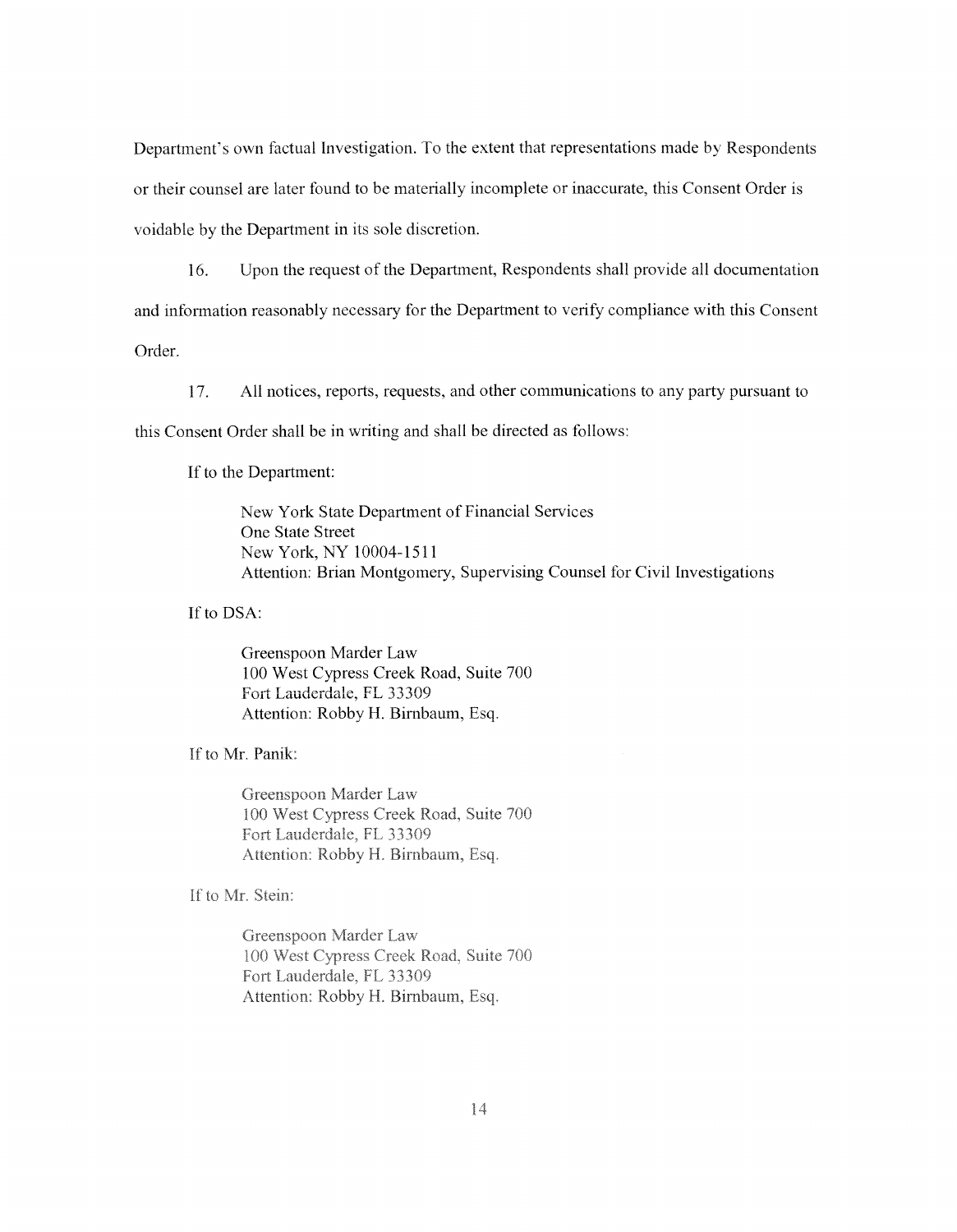Department's own factual Investigation. To the extent that representations made by Respondents or their counsel are later fuund to be materially incomplete or inaccurate, this Consent Order is voidable by the Department in its sole discretion.

16. Upon the request of the Department, Respondents shall provide all documentation and information reasonably necessary for the Department to verify compliance with this Consent

Order.

17. All notices, reports, requests, and other communications to any party pursuant to

this Consent Order shall be in writing and shall be directed as follows:

If to the Department:

New York State Department of Financial Services One State Street New York, NY 10004-1511 Attention: Brian Montgomery, Supervising Counsel for Civil Investigations

If to DSA:

Greenspoon Marder Law 100 West Cypress Creek Road, Suite 700 Fort Lauderdale, FL 33309 Attention: Robby H. Bimbaum, Esq.

If to Mr. Panik:

Greenspoon Marder Law 100 West Cypress Creek Road, Suite 700 Fort Lauderdale, FL 33309 Attention: Robby H. Birnbaum, Esq.

If to Mr. Stein:

Greenspoon Marder Law 100 West Cypress Creek Road, Suite 700 Fort Lauderdale, FL 33309 Attention: Robby H. Birnbaum, Esq.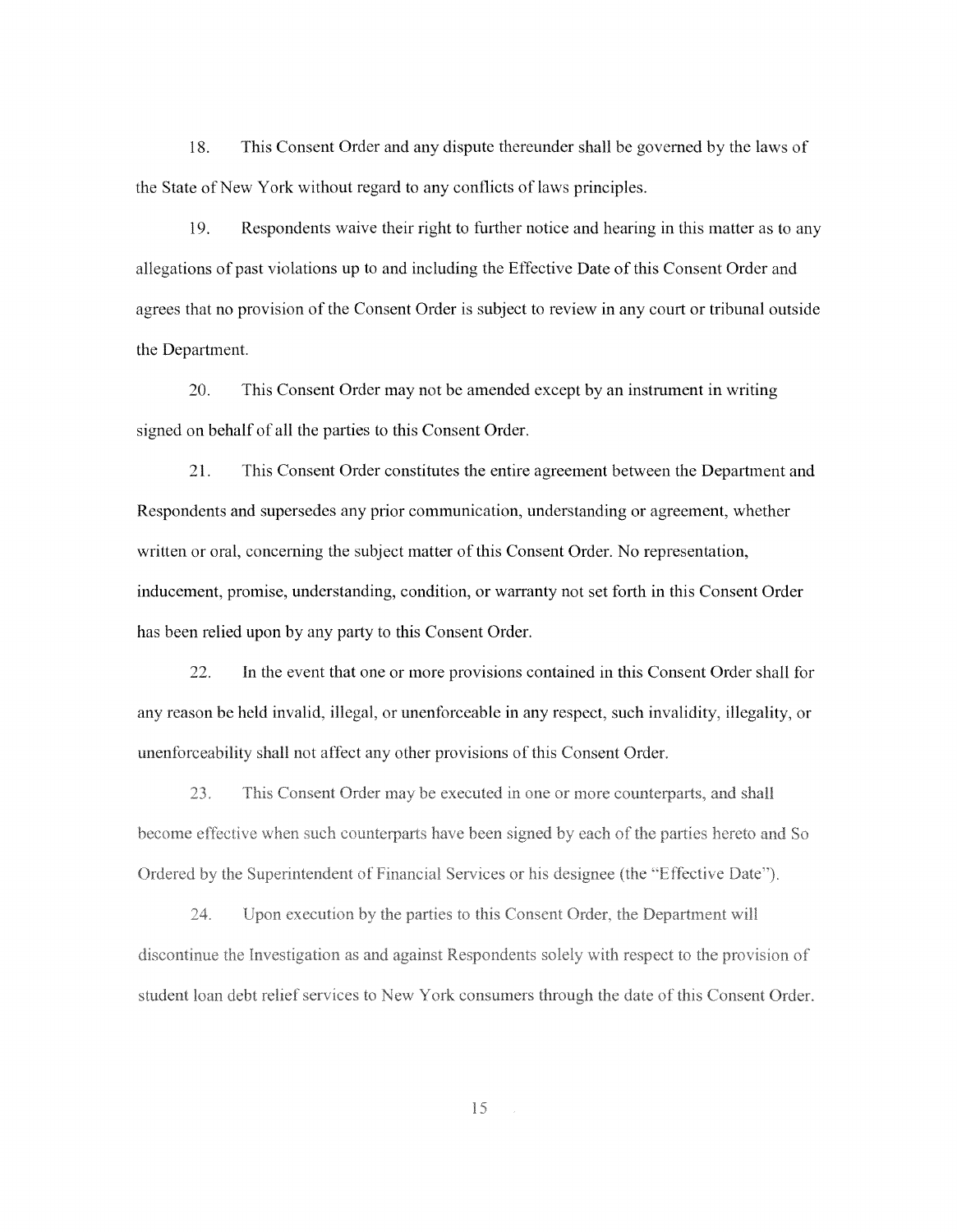18. This Consent Order and any dispute thereunder shall be governed by the laws of the State of New York without regard to any conflicts of laws principles.

19. Respondents waive their right to further notice and hearing in this matter as to any allegations of past violations up to and including the Effective Date of this Consent Order and agrees that no provision of the Consent Order is subject to review in any court or tribunal outside the Department.

20. This Consent Order may not be amended except by an instrument in writing signed on behalf of all the parties to this Consent Order.

21. This Consent Order constitutes the entire agreement between the Department and Respondents and supersedes any prior communication, understanding or agreement, whether written or oral, concerning the subject matter of this Consent Order. No representation, inducement, promise, understanding, condition, or warranty not set forth in this Consent Order has been relied upon by any party to this Consent Order.

22. In the event that one or more provisions contained in this Consent Order shall for any reason be held invalid, illegal, or unenforceable in any respect, such invalidity, illegality, or unenforceability shall not affect any other provisions of this Consent Order.

23. This Consent Order may be executed in one or more counterparts, and shall become effective when such counterparts have been signed by each of the parties hereto and So Ordered by the Superintendent of Financial Services or his designee (the "Effective Date").

Upon execution by the parties to this Consent Order, the Department will  $24$ discontinue the Investigation as and against Respondents solely with respect to the provision of student loan debt relief services to New York consumers through the date of this Consent Order.

15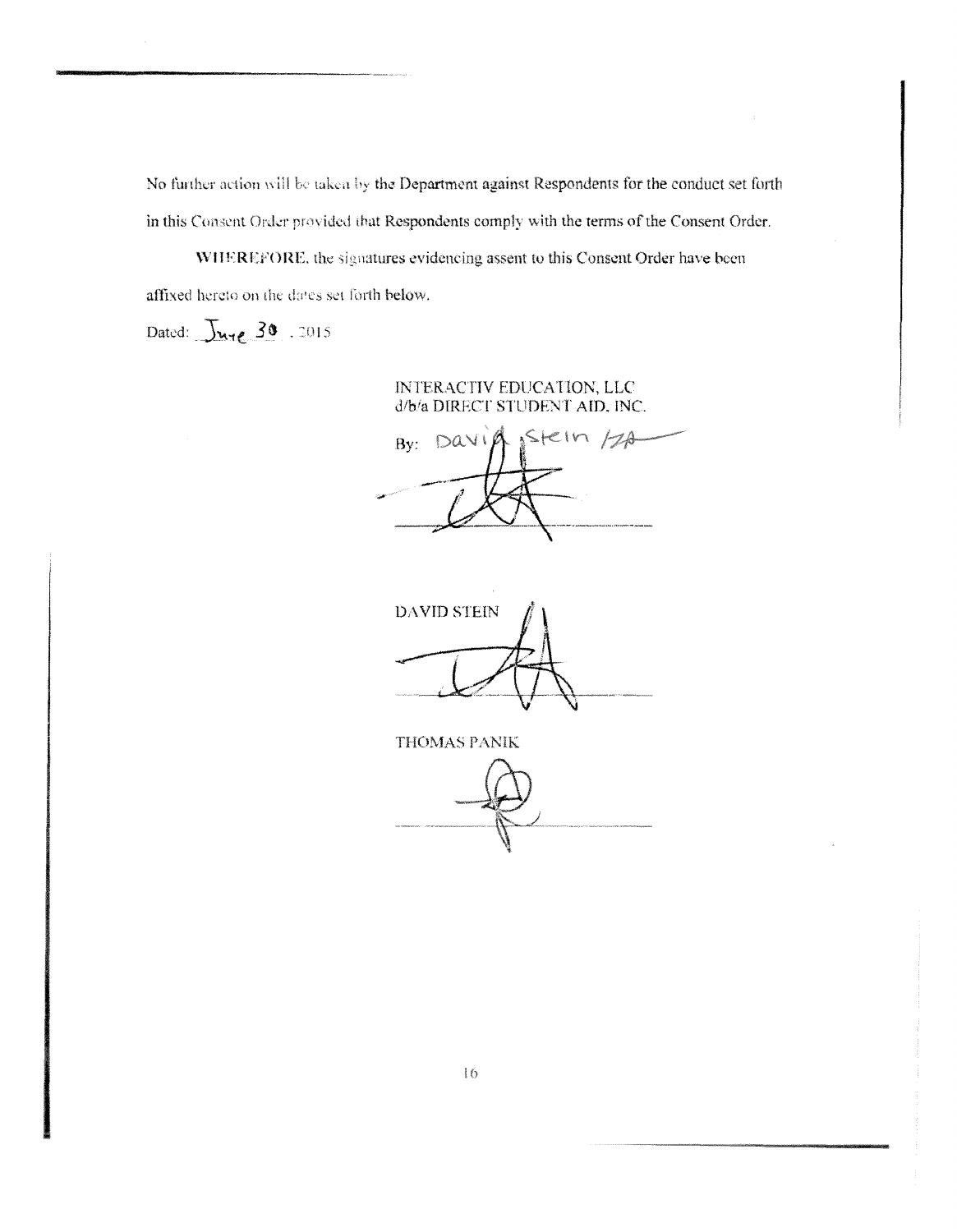the Department against Respondents f in this Consent Order provided that Respondents comply with the terms of the Consent Order.

WHEREFORE, the signatures evidencing assent to this Consent Order have been affixed hereto on the dates set forth below.

Dated: June 30 . 2015

# INTERACTIV EDUCATION, LLC d/b/a DIRECT STUDENT AID. INC.

Stein /2A  $By: DAV$ 

DAVID STEIN

THOMAS PANIK